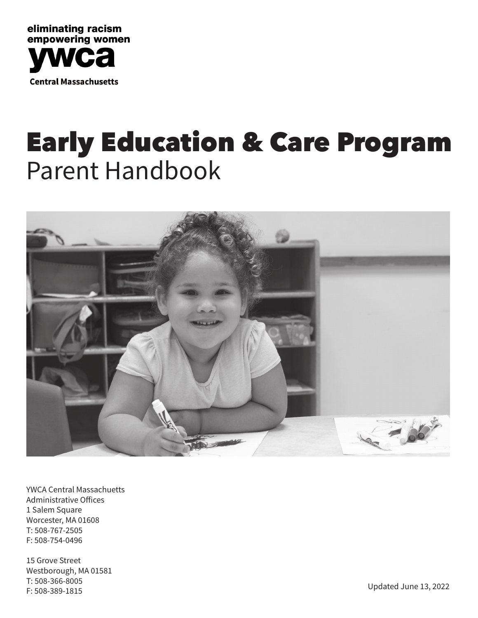

## Early Education & Care Program Parent Handbook



YWCA Central Massachuetts Administrative Offices 1 Salem Square Worcester, MA 01608 T: 508-767-2505 F: 508-754-0496

15 Grove Street Westborough, MA 01581 T: 508-366-8005 F: 508-389-1815 Updated June 13, 2022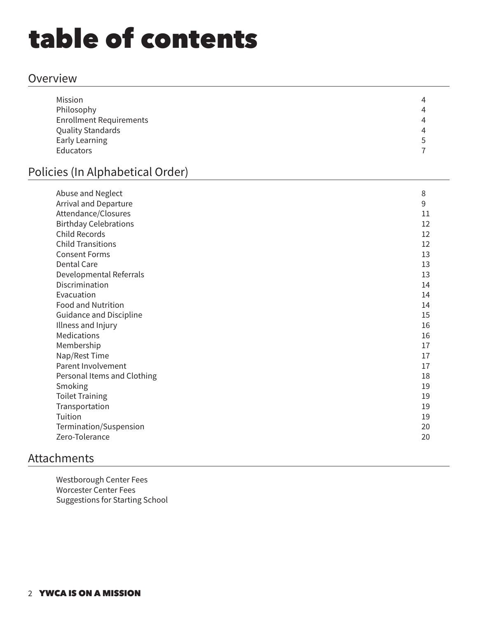## table of contents

### Overview

| 4              |
|----------------|
| 4              |
| $\overline{4}$ |
| $\overline{4}$ |
| 5              |
|                |
|                |

## Policies (In Alphabetical Order)

| Abuse and Neglect              | 8  |
|--------------------------------|----|
| Arrival and Departure          | 9  |
| Attendance/Closures            | 11 |
| <b>Birthday Celebrations</b>   | 12 |
| <b>Child Records</b>           | 12 |
| <b>Child Transitions</b>       | 12 |
| <b>Consent Forms</b>           | 13 |
| <b>Dental Care</b>             | 13 |
| Developmental Referrals        | 13 |
| Discrimination                 | 14 |
| Evacuation                     | 14 |
| <b>Food and Nutrition</b>      | 14 |
| <b>Guidance and Discipline</b> | 15 |
| Illness and Injury             | 16 |
| <b>Medications</b>             | 16 |
| Membership                     | 17 |
| Nap/Rest Time                  | 17 |
| Parent Involvement             | 17 |
| Personal Items and Clothing    | 18 |
| Smoking                        | 19 |
| <b>Toilet Training</b>         | 19 |
| Transportation                 | 19 |
| Tuition                        | 19 |
| Termination/Suspension         | 20 |
| Zero-Tolerance                 | 20 |

## Attachments

Westborough Center Fees Worcester Center Fees Suggestions for Starting School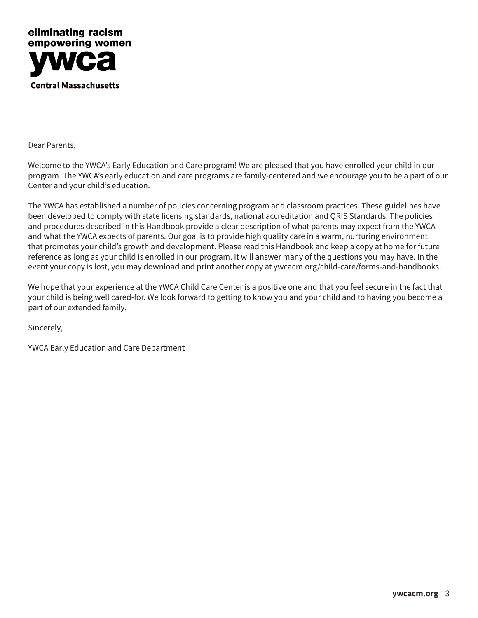

Dear Parents,

Welcome to the YWCA's Early Education and Care program! We are pleased that you have enrolled your child in our program. The YWCA's early education and care programs are family-centered and we encourage you to be a part of our Center and your child's education.

The YWCA has established a number of policies concerning program and classroom practices. These guidelines have been developed to comply with state licensing standards, national accreditation and QRIS Standards. The policies and procedures described in this Handbook provide a clear description of what parents may expect from the YWCA and what the YWCA expects of parents. Our goal is to provide high quality care in a warm, nurturing environment that promotes your child's growth and development. Please read this Handbook and keep a copy at home for future reference as long as your child is enrolled in our program. It will answer many of the questions you may have. In the event your copy is lost, you may download and print another copy at ywcacm.org/child-care/forms-and-handbooks.

We hope that your experience at the YWCA Child Care Center is a positive one and that you feel secure in the fact that your child is being well cared-for. We look forward to getting to know you and your child and to having you become a part of our extended family.

Sincerely,

YWCA Early Education and Care Department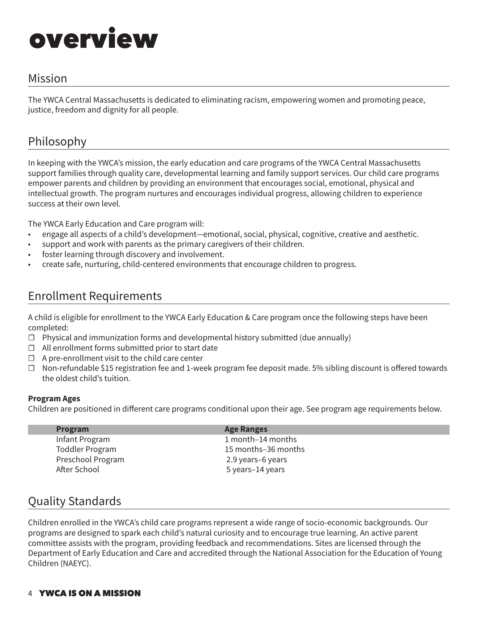## overview

## Mission

The YWCA Central Massachusetts is dedicated to eliminating racism, empowering women and promoting peace, justice, freedom and dignity for all people.

## Philosophy

In keeping with the YWCA's mission, the early education and care programs of the YWCA Central Massachusetts support families through quality care, developmental learning and family support services. Our child care programs empower parents and children by providing an environment that encourages social, emotional, physical and intellectual growth. The program nurtures and encourages individual progress, allowing children to experience success at their own level.

The YWCA Early Education and Care program will:

- engage all aspects of a child's development—emotional, social, physical, cognitive, creative and aesthetic.
- support and work with parents as the primary caregivers of their children.
- foster learning through discovery and involvement.
- create safe, nurturing, child-centered environments that encourage children to progress.

## Enrollment Requirements

A child is eligible for enrollment to the YWCA Early Education & Care program once the following steps have been completed:

- ☐ Physical and immunization forms and developmental history submitted (due annually)
- ☐ All enrollment forms submitted prior to start date
- $\Box$  A pre-enrollment visit to the child care center
- ☐ Non-refundable \$15 registration fee and 1-week program fee deposit made. 5% sibling discount is offered towards the oldest child's tuition.

#### **Program Ages**

Children are positioned in different care programs conditional upon their age. See program age requirements below.

| <b>Program</b>         | <b>Age Ranges</b>   |
|------------------------|---------------------|
| Infant Program         | 1 month-14 months   |
| <b>Toddler Program</b> | 15 months-36 months |
| Preschool Program      | 2.9 years-6 years   |
| After School           | 5 years-14 years    |

## Quality Standards

Children enrolled in the YWCA's child care programs represent a wide range of socio-economic backgrounds. Our programs are designed to spark each child's natural curiosity and to encourage true learning. An active parent committee assists with the program, providing feedback and recommendations. Sites are licensed through the Department of Early Education and Care and accredited through the National Association for the Education of Young Children (NAEYC).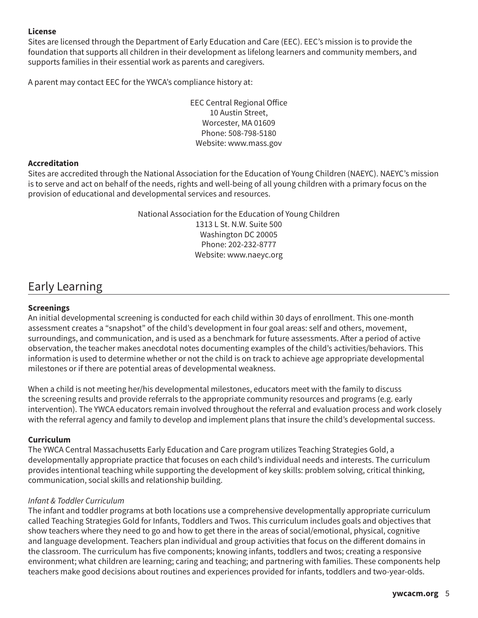#### **License**

Sites are licensed through the Department of Early Education and Care (EEC). EEC's mission is to provide the foundation that supports all children in their development as lifelong learners and community members, and supports families in their essential work as parents and caregivers.

A parent may contact EEC for the YWCA's compliance history at:

EEC Central Regional Office 10 Austin Street, Worcester, MA 01609 Phone: 508-798-5180 Website: www.mass.gov

#### **Accreditation**

Sites are accredited through the National Association for the Education of Young Children (NAEYC). NAEYC's mission is to serve and act on behalf of the needs, rights and well-being of all young children with a primary focus on the provision of educational and developmental services and resources.

> National Association for the Education of Young Children 1313 L St. N.W. Suite 500 Washington DC 20005 Phone: 202-232-8777 Website: www.naeyc.org

## Early Learning

#### **Screenings**

An initial developmental screening is conducted for each child within 30 days of enrollment. This one-month assessment creates a "snapshot" of the child's development in four goal areas: self and others, movement, surroundings, and communication, and is used as a benchmark for future assessments. After a period of active observation, the teacher makes anecdotal notes documenting examples of the child's activities/behaviors. This information is used to determine whether or not the child is on track to achieve age appropriate developmental milestones or if there are potential areas of developmental weakness.

When a child is not meeting her/his developmental milestones, educators meet with the family to discuss the screening results and provide referrals to the appropriate community resources and programs (e.g. early intervention). The YWCA educators remain involved throughout the referral and evaluation process and work closely with the referral agency and family to develop and implement plans that insure the child's developmental success.

#### **Curriculum**

The YWCA Central Massachusetts Early Education and Care program utilizes Teaching Strategies Gold, a developmentally appropriate practice that focuses on each child's individual needs and interests. The curriculum provides intentional teaching while supporting the development of key skills: problem solving, critical thinking, communication, social skills and relationship building.

#### *Infant & Toddler Curriculum*

The infant and toddler programs at both locations use a comprehensive developmentally appropriate curriculum called Teaching Strategies Gold for Infants, Toddlers and Twos. This curriculum includes goals and objectives that show teachers where they need to go and how to get there in the areas of social/emotional, physical, cognitive and language development. Teachers plan individual and group activities that focus on the different domains in the classroom. The curriculum has five components; knowing infants, toddlers and twos; creating a responsive environment; what children are learning; caring and teaching; and partnering with families. These components help teachers make good decisions about routines and experiences provided for infants, toddlers and two-year-olds.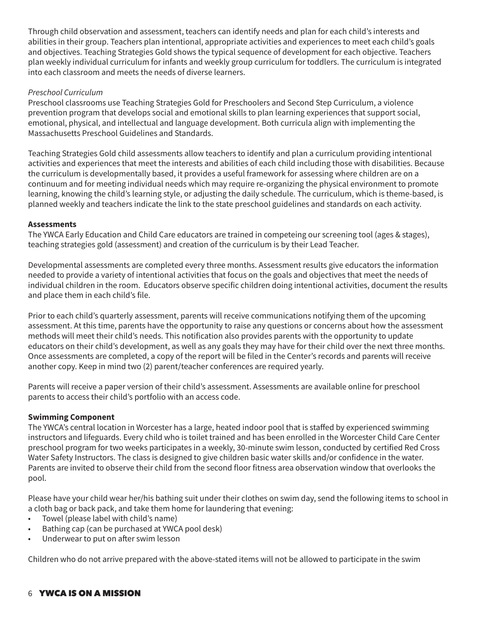Through child observation and assessment, teachers can identify needs and plan for each child's interests and abilities in their group. Teachers plan intentional, appropriate activities and experiences to meet each child's goals and objectives. Teaching Strategies Gold shows the typical sequence of development for each objective. Teachers plan weekly individual curriculum for infants and weekly group curriculum for toddlers. The curriculum is integrated into each classroom and meets the needs of diverse learners.

#### *Preschool Curriculum*

Preschool classrooms use Teaching Strategies Gold for Preschoolers and Second Step Curriculum, a violence prevention program that develops social and emotional skills to plan learning experiences that support social, emotional, physical, and intellectual and language development. Both curricula align with implementing the Massachusetts Preschool Guidelines and Standards.

Teaching Strategies Gold child assessments allow teachers to identify and plan a curriculum providing intentional activities and experiences that meet the interests and abilities of each child including those with disabilities. Because the curriculum is developmentally based, it provides a useful framework for assessing where children are on a continuum and for meeting individual needs which may require re-organizing the physical environment to promote learning, knowing the child's learning style, or adjusting the daily schedule. The curriculum, which is theme-based, is planned weekly and teachers indicate the link to the state preschool guidelines and standards on each activity.

#### **Assessments**

The YWCA Early Education and Child Care educators are trained in competeing our screening tool (ages & stages), teaching strategies gold (assessment) and creation of the curriculum is by their Lead Teacher.

Developmental assessments are completed every three months. Assessment results give educators the information needed to provide a variety of intentional activities that focus on the goals and objectives that meet the needs of individual children in the room. Educators observe specific children doing intentional activities, document the results and place them in each child's file.

Prior to each child's quarterly assessment, parents will receive communications notifying them of the upcoming assessment. At this time, parents have the opportunity to raise any questions or concerns about how the assessment methods will meet their child's needs. This notification also provides parents with the opportunity to update educators on their child's development, as well as any goals they may have for their child over the next three months. Once assessments are completed, a copy of the report will be filed in the Center's records and parents will receive another copy. Keep in mind two (2) parent/teacher conferences are required yearly.

Parents will receive a paper version of their child's assessment. Assessments are available online for preschool parents to access their child's portfolio with an access code.

#### **Swimming Component**

The YWCA's central location in Worcester has a large, heated indoor pool that is staffed by experienced swimming instructors and lifeguards. Every child who is toilet trained and has been enrolled in the Worcester Child Care Center preschool program for two weeks participates in a weekly, 30-minute swim lesson, conducted by certified Red Cross Water Safety Instructors. The class is designed to give children basic water skills and/or confidence in the water. Parents are invited to observe their child from the second floor fitness area observation window that overlooks the pool.

Please have your child wear her/his bathing suit under their clothes on swim day, send the following items to school in a cloth bag or back pack, and take them home for laundering that evening:

- Towel (please label with child's name)
- Bathing cap (can be purchased at YWCA pool desk)
- Underwear to put on after swim lesson

Children who do not arrive prepared with the above-stated items will not be allowed to participate in the swim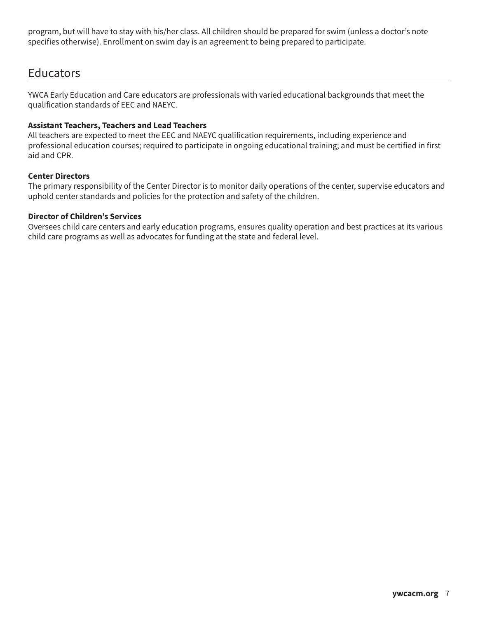program, but will have to stay with his/her class. All children should be prepared for swim (unless a doctor's note specifies otherwise). Enrollment on swim day is an agreement to being prepared to participate.

## **Educators**

YWCA Early Education and Care educators are professionals with varied educational backgrounds that meet the qualification standards of EEC and NAEYC.

#### **Assistant Teachers, Teachers and Lead Teachers**

All teachers are expected to meet the EEC and NAEYC qualification requirements, including experience and professional education courses; required to participate in ongoing educational training; and must be certified in first aid and CPR.

#### **Center Directors**

The primary responsibility of the Center Director is to monitor daily operations of the center, supervise educators and uphold center standards and policies for the protection and safety of the children.

#### **Director of Children's Services**

Oversees child care centers and early education programs, ensures quality operation and best practices at its various child care programs as well as advocates for funding at the state and federal level.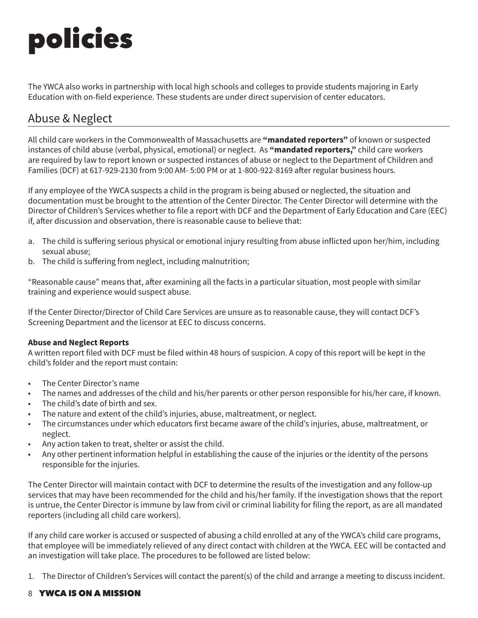# policies

The YWCA also works in partnership with local high schools and colleges to provide students majoring in Early Education with on-field experience. These students are under direct supervision of center educators.

## Abuse & Neglect

All child care workers in the Commonwealth of Massachusetts are **"mandated reporters"** of known or suspected instances of child abuse (verbal, physical, emotional) or neglect. As **"mandated reporters,"** child care workers are required by law to report known or suspected instances of abuse or neglect to the Department of Children and Families (DCF) at 617-929-2130 from 9:00 AM- 5:00 PM or at 1-800-922-8169 after regular business hours.

If any employee of the YWCA suspects a child in the program is being abused or neglected, the situation and documentation must be brought to the attention of the Center Director. The Center Director will determine with the Director of Children's Services whether to file a report with DCF and the Department of Early Education and Care (EEC) if, after discussion and observation, there is reasonable cause to believe that:

- a. The child is suffering serious physical or emotional injury resulting from abuse inflicted upon her/him, including sexual abuse;
- b. The child is suffering from neglect, including malnutrition;

"Reasonable cause" means that, after examining all the facts in a particular situation, most people with similar training and experience would suspect abuse.

If the Center Director/Director of Child Care Services are unsure as to reasonable cause, they will contact DCF's Screening Department and the licensor at EEC to discuss concerns.

#### **Abuse and Neglect Reports**

A written report filed with DCF must be filed within 48 hours of suspicion. A copy of this report will be kept in the child's folder and the report must contain:

- The Center Director's name
- The names and addresses of the child and his/her parents or other person responsible for his/her care, if known.
- The child's date of birth and sex.
- The nature and extent of the child's injuries, abuse, maltreatment, or neglect.
- The circumstances under which educators first became aware of the child's injuries, abuse, maltreatment, or neglect.
- Any action taken to treat, shelter or assist the child.
- Any other pertinent information helpful in establishing the cause of the injuries or the identity of the persons responsible for the injuries.

The Center Director will maintain contact with DCF to determine the results of the investigation and any follow-up services that may have been recommended for the child and his/her family. If the investigation shows that the report is untrue, the Center Director is immune by law from civil or criminal liability for filing the report, as are all mandated reporters (including all child care workers).

If any child care worker is accused or suspected of abusing a child enrolled at any of the YWCA's child care programs, that employee will be immediately relieved of any direct contact with children at the YWCA. EEC will be contacted and an investigation will take place. The procedures to be followed are listed below:

1. The Director of Children's Services will contact the parent(s) of the child and arrange a meeting to discuss incident.

#### 8 YWCA IS ON A MISSION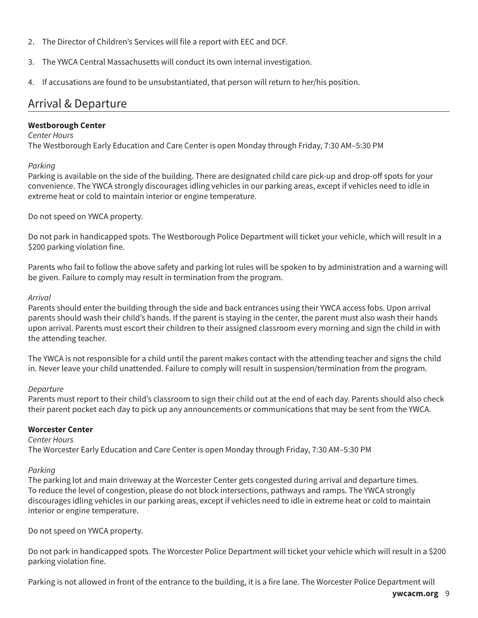- 2. The Director of Children's Services will file a report with EEC and DCF.
- 3. The YWCA Central Massachusetts will conduct its own internal investigation.
- 4. If accusations are found to be unsubstantiated, that person will return to her/his position.

#### Arrival & Departure

#### **Westborough Center**

#### *Center Hours*

The Westborough Early Education and Care Center is open Monday through Friday, 7:30 AM–5:30 PM

#### *Parking*

Parking is available on the side of the building. There are designated child care pick-up and drop-off spots for your convenience. The YWCA strongly discourages idling vehicles in our parking areas, except if vehicles need to idle in extreme heat or cold to maintain interior or engine temperature.

Do not speed on YWCA property.

Do not park in handicapped spots. The Westborough Police Department will ticket your vehicle, which will result in a \$200 parking violation fine.

Parents who fail to follow the above safety and parking lot rules will be spoken to by administration and a warning will be given. Failure to comply may result in termination from the program.

#### *Arrival*

Parents should enter the building through the side and back entrances using their YWCA access fobs. Upon arrival parents should wash their child's hands. If the parent is staying in the center, the parent must also wash their hands upon arrival. Parents must escort their children to their assigned classroom every morning and sign the child in with the attending teacher.

The YWCA is not responsible for a child until the parent makes contact with the attending teacher and signs the child in. Never leave your child unattended. Failure to comply will result in suspension/termination from the program.

#### *Departure*

Parents must report to their child's classroom to sign their child out at the end of each day. Parents should also check their parent pocket each day to pick up any announcements or communications that may be sent from the YWCA.

#### **Worcester Center**

#### *Center Hours*

The Worcester Early Education and Care Center is open Monday through Friday, 7:30 AM–5:30 PM

#### *Parking*

The parking lot and main driveway at the Worcester Center gets congested during arrival and departure times. To reduce the level of congestion, please do not block intersections, pathways and ramps. The YWCA strongly discourages idling vehicles in our parking areas, except if vehicles need to idle in extreme heat or cold to maintain interior or engine temperature.

Do not speed on YWCA property.

Do not park in handicapped spots. The Worcester Police Department will ticket your vehicle which will result in a \$200 parking violation fine.

Parking is not allowed in front of the entrance to the building, it is a fire lane. The Worcester Police Department will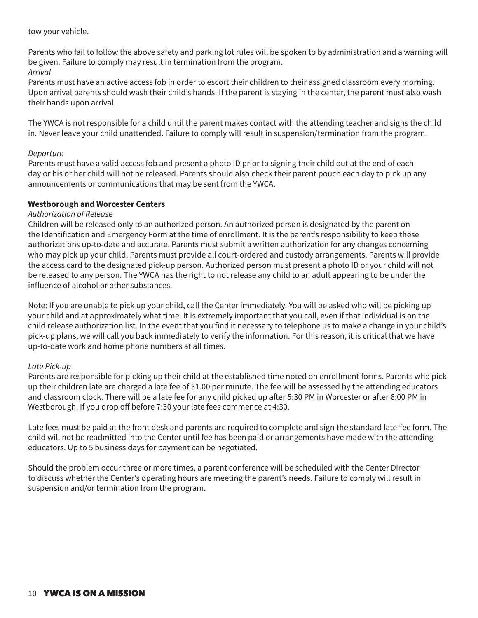tow your vehicle.

Parents who fail to follow the above safety and parking lot rules will be spoken to by administration and a warning will be given. Failure to comply may result in termination from the program. *Arrival*

Parents must have an active access fob in order to escort their children to their assigned classroom every morning. Upon arrival parents should wash their child's hands. If the parent is staying in the center, the parent must also wash their hands upon arrival.

The YWCA is not responsible for a child until the parent makes contact with the attending teacher and signs the child in. Never leave your child unattended. Failure to comply will result in suspension/termination from the program.

#### *Departure*

Parents must have a valid access fob and present a photo ID prior to signing their child out at the end of each day or his or her child will not be released. Parents should also check their parent pouch each day to pick up any announcements or communications that may be sent from the YWCA.

#### **Westborough and Worcester Centers**

#### *Authorization of Release*

Children will be released only to an authorized person. An authorized person is designated by the parent on the Identification and Emergency Form at the time of enrollment. It is the parent's responsibility to keep these authorizations up-to-date and accurate. Parents must submit a written authorization for any changes concerning who may pick up your child. Parents must provide all court-ordered and custody arrangements. Parents will provide the access card to the designated pick-up person. Authorized person must present a photo ID or your child will not be released to any person. The YWCA has the right to not release any child to an adult appearing to be under the influence of alcohol or other substances.

Note: If you are unable to pick up your child, call the Center immediately. You will be asked who will be picking up your child and at approximately what time. It is extremely important that you call, even if that individual is on the child release authorization list. In the event that you find it necessary to telephone us to make a change in your child's pick-up plans, we will call you back immediately to verify the information. For this reason, it is critical that we have up-to-date work and home phone numbers at all times.

#### *Late Pick-up*

Parents are responsible for picking up their child at the established time noted on enrollment forms. Parents who pick up their children late are charged a late fee of \$1.00 per minute. The fee will be assessed by the attending educators and classroom clock. There will be a late fee for any child picked up after 5:30 PM in Worcester or after 6:00 PM in Westborough. If you drop off before 7:30 your late fees commence at 4:30.

Late fees must be paid at the front desk and parents are required to complete and sign the standard late-fee form. The child will not be readmitted into the Center until fee has been paid or arrangements have made with the attending educators. Up to 5 business days for payment can be negotiated.

Should the problem occur three or more times, a parent conference will be scheduled with the Center Director to discuss whether the Center's operating hours are meeting the parent's needs. Failure to comply will result in suspension and/or termination from the program.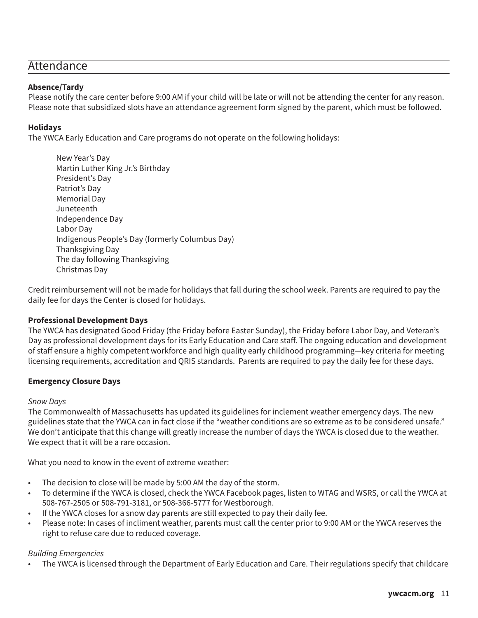#### **Attendance**

#### **Absence/Tardy**

Please notify the care center before 9:00 AM if your child will be late or will not be attending the center for any reason. Please note that subsidized slots have an attendance agreement form signed by the parent, which must be followed.

#### **Holidays**

The YWCA Early Education and Care programs do not operate on the following holidays:

New Year's Day Martin Luther King Jr.'s Birthday President's Day Patriot's Day Memorial Day Juneteenth Independence Day Labor Day Indigenous People's Day (formerly Columbus Day) Thanksgiving Day The day following Thanksgiving Christmas Day

Credit reimbursement will not be made for holidays that fall during the school week. Parents are required to pay the daily fee for days the Center is closed for holidays.

#### **Professional Development Days**

The YWCA has designated Good Friday (the Friday before Easter Sunday), the Friday before Labor Day, and Veteran's Day as professional development days for its Early Education and Care staff. The ongoing education and development of staff ensure a highly competent workforce and high quality early childhood programming—key criteria for meeting licensing requirements, accreditation and QRIS standards. Parents are required to pay the daily fee for these days.

#### **Emergency Closure Days**

#### *Snow Days*

The Commonwealth of Massachusetts has updated its guidelines for inclement weather emergency days. The new guidelines state that the YWCA can in fact close if the "weather conditions are so extreme as to be considered unsafe." We don't anticipate that this change will greatly increase the number of days the YWCA is closed due to the weather. We expect that it will be a rare occasion.

What you need to know in the event of extreme weather:

- The decision to close will be made by 5:00 AM the day of the storm.
- To determine if the YWCA is closed, check the YWCA Facebook pages, listen to WTAG and WSRS, or call the YWCA at 508-767-2505 or 508-791-3181, or 508-366-5777 for Westborough.
- If the YWCA closes for a snow day parents are still expected to pay their daily fee.
- Please note: In cases of incliment weather, parents must call the center prior to 9:00 AM or the YWCA reserves the right to refuse care due to reduced coverage.

#### *Building Emergencies*

• The YWCA is licensed through the Department of Early Education and Care. Their regulations specify that childcare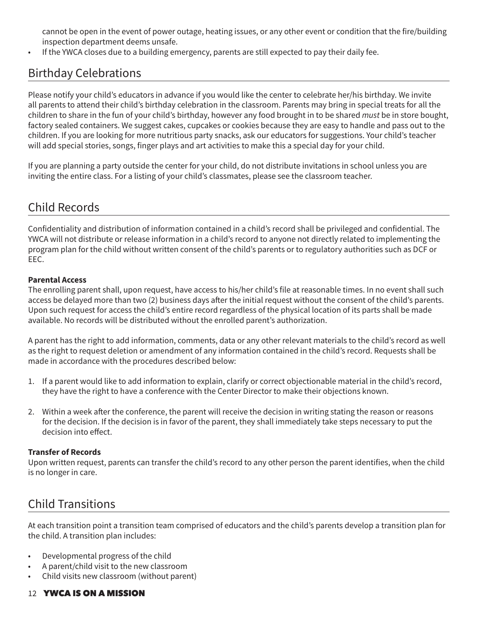cannot be open in the event of power outage, heating issues, or any other event or condition that the fire/building inspection department deems unsafe.

• If the YWCA closes due to a building emergency, parents are still expected to pay their daily fee.

## Birthday Celebrations

Please notify your child's educators in advance if you would like the center to celebrate her/his birthday. We invite all parents to attend their child's birthday celebration in the classroom. Parents may bring in special treats for all the children to share in the fun of your child's birthday, however any food brought in to be shared *must* be in store bought, factory sealed containers. We suggest cakes, cupcakes or cookies because they are easy to handle and pass out to the children. If you are looking for more nutritious party snacks, ask our educators for suggestions. Your child's teacher will add special stories, songs, finger plays and art activities to make this a special day for your child.

If you are planning a party outside the center for your child, do not distribute invitations in school unless you are inviting the entire class. For a listing of your child's classmates, please see the classroom teacher.

## Child Records

Confidentiality and distribution of information contained in a child's record shall be privileged and confidential. The YWCA will not distribute or release information in a child's record to anyone not directly related to implementing the program plan for the child without written consent of the child's parents or to regulatory authorities such as DCF or EEC.

#### **Parental Access**

The enrolling parent shall, upon request, have access to his/her child's file at reasonable times. In no event shall such access be delayed more than two (2) business days after the initial request without the consent of the child's parents. Upon such request for access the child's entire record regardless of the physical location of its parts shall be made available. No records will be distributed without the enrolled parent's authorization.

A parent has the right to add information, comments, data or any other relevant materials to the child's record as well as the right to request deletion or amendment of any information contained in the child's record. Requests shall be made in accordance with the procedures described below:

- 1. If a parent would like to add information to explain, clarify or correct objectionable material in the child's record, they have the right to have a conference with the Center Director to make their objections known.
- 2. Within a week after the conference, the parent will receive the decision in writing stating the reason or reasons for the decision. If the decision is in favor of the parent, they shall immediately take steps necessary to put the decision into effect.

#### **Transfer of Records**

Upon written request, parents can transfer the child's record to any other person the parent identifies, when the child is no longer in care.

## Child Transitions

At each transition point a transition team comprised of educators and the child's parents develop a transition plan for the child. A transition plan includes:

- Developmental progress of the child
- A parent/child visit to the new classroom
- Child visits new classroom (without parent)

#### 12 YWCA IS ON A MISSION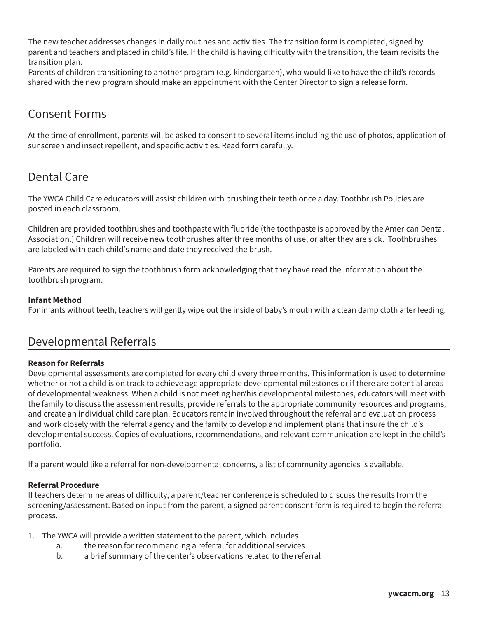The new teacher addresses changes in daily routines and activities. The transition form is completed, signed by parent and teachers and placed in child's file. If the child is having difficulty with the transition, the team revisits the transition plan.

Parents of children transitioning to another program (e.g. kindergarten), who would like to have the child's records shared with the new program should make an appointment with the Center Director to sign a release form.

### Consent Forms

At the time of enrollment, parents will be asked to consent to several items including the use of photos, application of sunscreen and insect repellent, and specific activities. Read form carefully.

## Dental Care

Ī

The YWCA Child Care educators will assist children with brushing their teeth once a day. Toothbrush Policies are posted in each classroom.

Children are provided toothbrushes and toothpaste with fluoride (the toothpaste is approved by the American Dental Association.) Children will receive new toothbrushes after three months of use, or after they are sick. Toothbrushes are labeled with each child's name and date they received the brush.

Parents are required to sign the toothbrush form acknowledging that they have read the information about the toothbrush program.

#### **Infant Method**

For infants without teeth, teachers will gently wipe out the inside of baby's mouth with a clean damp cloth after feeding.

## Developmental Referrals

#### **Reason for Referrals**

Developmental assessments are completed for every child every three months. This information is used to determine whether or not a child is on track to achieve age appropriate developmental milestones or if there are potential areas of developmental weakness. When a child is not meeting her/his developmental milestones, educators will meet with the family to discuss the assessment results, provide referrals to the appropriate community resources and programs, and create an individual child care plan. Educators remain involved throughout the referral and evaluation process and work closely with the referral agency and the family to develop and implement plans that insure the child's developmental success. Copies of evaluations, recommendations, and relevant communication are kept in the child's portfolio.

If a parent would like a referral for non-developmental concerns, a list of community agencies is available.

#### **Referral Procedure**

If teachers determine areas of difficulty, a parent/teacher conference is scheduled to discuss the results from the screening/assessment. Based on input from the parent, a signed parent consent form is required to begin the referral process.

- 1. The YWCA will provide a written statement to the parent, which includes
	- a. the reason for recommending a referral for additional services
	- b. a brief summary of the center's observations related to the referral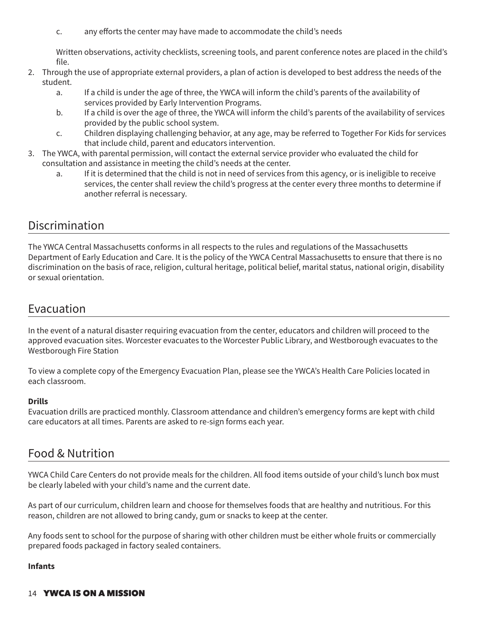c. any efforts the center may have made to accommodate the child's needs

Written observations, activity checklists, screening tools, and parent conference notes are placed in the child's file.

- 2. Through the use of appropriate external providers, a plan of action is developed to best address the needs of the student.
	- a. If a child is under the age of three, the YWCA will inform the child's parents of the availability of services provided by Early Intervention Programs.
	- b. If a child is over the age of three, the YWCA will inform the child's parents of the availability of services provided by the public school system.
	- c. Children displaying challenging behavior, at any age, may be referred to Together For Kids for services that include child, parent and educators intervention.
- 3. The YWCA, with parental permission, will contact the external service provider who evaluated the child for consultation and assistance in meeting the child's needs at the center.
	- a. If it is determined that the child is not in need of services from this agency, or is ineligible to receive services, the center shall review the child's progress at the center every three months to determine if another referral is necessary.

## Discrimination

The YWCA Central Massachusetts conforms in all respects to the rules and regulations of the Massachusetts Department of Early Education and Care. It is the policy of the YWCA Central Massachusetts to ensure that there is no discrimination on the basis of race, religion, cultural heritage, political belief, marital status, national origin, disability or sexual orientation.

## Evacuation

In the event of a natural disaster requiring evacuation from the center, educators and children will proceed to the approved evacuation sites. Worcester evacuates to the Worcester Public Library, and Westborough evacuates to the Westborough Fire Station

To view a complete copy of the Emergency Evacuation Plan, please see the YWCA's Health Care Policies located in each classroom.

#### **Drills**

Evacuation drills are practiced monthly. Classroom attendance and children's emergency forms are kept with child care educators at all times. Parents are asked to re-sign forms each year.

## Food & Nutrition

YWCA Child Care Centers do not provide meals for the children. All food items outside of your child's lunch box must be clearly labeled with your child's name and the current date.

As part of our curriculum, children learn and choose for themselves foods that are healthy and nutritious. For this reason, children are not allowed to bring candy, gum or snacks to keep at the center.

Any foods sent to school for the purpose of sharing with other children must be either whole fruits or commercially prepared foods packaged in factory sealed containers.

#### **Infants**

#### 14 YWCA IS ON A MISSION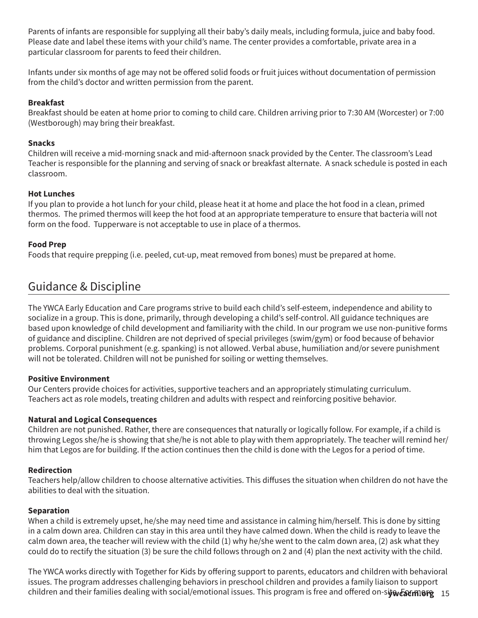Parents of infants are responsible for supplying all their baby's daily meals, including formula, juice and baby food. Please date and label these items with your child's name. The center provides a comfortable, private area in a particular classroom for parents to feed their children.

Infants under six months of age may not be offered solid foods or fruit juices without documentation of permission from the child's doctor and written permission from the parent.

#### **Breakfast**

Breakfast should be eaten at home prior to coming to child care. Children arriving prior to 7:30 AM (Worcester) or 7:00 (Westborough) may bring their breakfast.

#### **Snacks**

Children will receive a mid-morning snack and mid-afternoon snack provided by the Center. The classroom's Lead Teacher is responsible for the planning and serving of snack or breakfast alternate. A snack schedule is posted in each classroom.

#### **Hot Lunches**

If you plan to provide a hot lunch for your child, please heat it at home and place the hot food in a clean, primed thermos. The primed thermos will keep the hot food at an appropriate temperature to ensure that bacteria will not form on the food. Tupperware is not acceptable to use in place of a thermos.

#### **Food Prep**

Foods that require prepping (i.e. peeled, cut-up, meat removed from bones) must be prepared at home.

## Guidance & Discipline

The YWCA Early Education and Care programs strive to build each child's self-esteem, independence and ability to socialize in a group. This is done, primarily, through developing a child's self-control. All guidance techniques are based upon knowledge of child development and familiarity with the child. In our program we use non-punitive forms of guidance and discipline. Children are not deprived of special privileges (swim/gym) or food because of behavior problems. Corporal punishment (e.g. spanking) is not allowed. Verbal abuse, humiliation and/or severe punishment will not be tolerated. Children will not be punished for soiling or wetting themselves.

#### **Positive Environment**

Our Centers provide choices for activities, supportive teachers and an appropriately stimulating curriculum. Teachers act as role models, treating children and adults with respect and reinforcing positive behavior.

#### **Natural and Logical Consequences**

Children are not punished. Rather, there are consequences that naturally or logically follow. For example, if a child is throwing Legos she/he is showing that she/he is not able to play with them appropriately. The teacher will remind her/ him that Legos are for building. If the action continues then the child is done with the Legos for a period of time.

#### **Redirection**

Teachers help/allow children to choose alternative activities. This diffuses the situation when children do not have the abilities to deal with the situation.

#### **Separation**

When a child is extremely upset, he/she may need time and assistance in calming him/herself. This is done by sitting in a calm down area. Children can stay in this area until they have calmed down. When the child is ready to leave the calm down area, the teacher will review with the child (1) why he/she went to the calm down area, (2) ask what they could do to rectify the situation (3) be sure the child follows through on 2 and (4) plan the next activity with the child.

children and their families dealing with social/emotional issues. This program is free and offered on-s**it�***c***atmore** 15 The YWCA works directly with Together for Kids by offering support to parents, educators and children with behavioral issues. The program addresses challenging behaviors in preschool children and provides a family liaison to support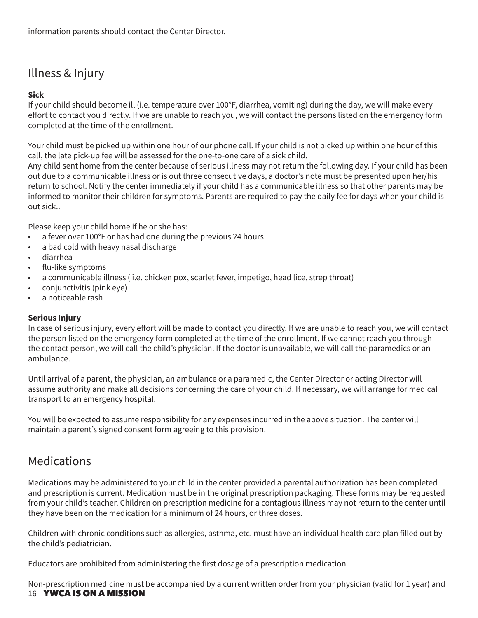## Illness & Injury

#### **Sick**

If your child should become ill (i.e. temperature over 100°F, diarrhea, vomiting) during the day, we will make every effort to contact you directly. If we are unable to reach you, we will contact the persons listed on the emergency form completed at the time of the enrollment.

Your child must be picked up within one hour of our phone call. If your child is not picked up within one hour of this call, the late pick-up fee will be assessed for the one-to-one care of a sick child.

Any child sent home from the center because of serious illness may not return the following day. If your child has been out due to a communicable illness or is out three consecutive days, a doctor's note must be presented upon her/his return to school. Notify the center immediately if your child has a communicable illness so that other parents may be informed to monitor their children for symptoms. Parents are required to pay the daily fee for days when your child is out sick..

Please keep your child home if he or she has:

- a fever over 100°F or has had one during the previous 24 hours
- a bad cold with heavy nasal discharge
- diarrhea
- flu-like symptoms
- a communicable illness ( i.e. chicken pox, scarlet fever, impetigo, head lice, strep throat)
- conjunctivitis (pink eye)
- a noticeable rash

#### **Serious Injury**

In case of serious injury, every effort will be made to contact you directly. If we are unable to reach you, we will contact the person listed on the emergency form completed at the time of the enrollment. If we cannot reach you through the contact person, we will call the child's physician. If the doctor is unavailable, we will call the paramedics or an ambulance.

Until arrival of a parent, the physician, an ambulance or a paramedic, the Center Director or acting Director will assume authority and make all decisions concerning the care of your child. If necessary, we will arrange for medical transport to an emergency hospital.

You will be expected to assume responsibility for any expenses incurred in the above situation. The center will maintain a parent's signed consent form agreeing to this provision.

### **Medications**

Medications may be administered to your child in the center provided a parental authorization has been completed and prescription is current. Medication must be in the original prescription packaging. These forms may be requested from your child's teacher. Children on prescription medicine for a contagious illness may not return to the center until they have been on the medication for a minimum of 24 hours, or three doses.

Children with chronic conditions such as allergies, asthma, etc. must have an individual health care plan filled out by the child's pediatrician.

Educators are prohibited from administering the first dosage of a prescription medication.

16 YWCA IS ON A MISSION Non-prescription medicine must be accompanied by a current written order from your physician (valid for 1 year) and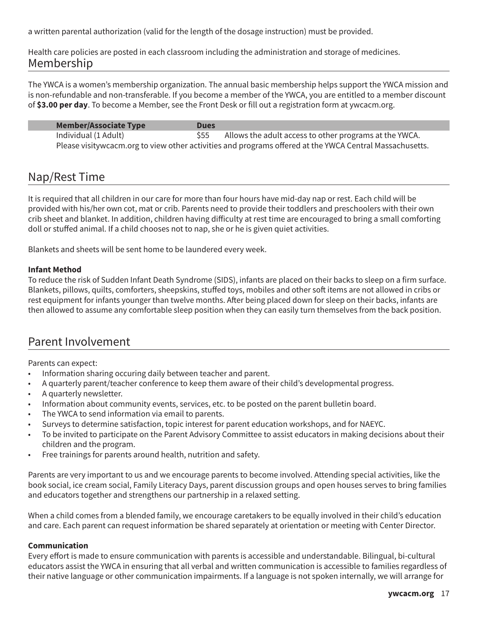a written parental authorization (valid for the length of the dosage instruction) must be provided.

Health care policies are posted in each classroom including the administration and storage of medicines. Membership

The YWCA is a women's membership organization. The annual basic membership helps support the YWCA mission and is non-refundable and non-transferable. If you become a member of the YWCA, you are entitled to a member discount of **\$3.00 per day**. To become a Member, see the Front Desk or fill out a registration form at ywcacm.org.

| <b>Member/Associate Type</b> | <b>Dues</b> |                                                                                                         |
|------------------------------|-------------|---------------------------------------------------------------------------------------------------------|
| Individual (1 Adult)         |             | Allows the adult access to other programs at the YWCA.                                                  |
|                              |             | Please visitywcacm.org to view other activities and programs offered at the YWCA Central Massachusetts. |

## Nap/Rest Time

It is required that all children in our care for more than four hours have mid-day nap or rest. Each child will be provided with his/her own cot, mat or crib. Parents need to provide their toddlers and preschoolers with their own crib sheet and blanket. In addition, children having difficulty at rest time are encouraged to bring a small comforting doll or stuffed animal. If a child chooses not to nap, she or he is given quiet activities.

Blankets and sheets will be sent home to be laundered every week.

#### **Infant Method**

To reduce the risk of Sudden Infant Death Syndrome (SIDS), infants are placed on their backs to sleep on a firm surface. Blankets, pillows, quilts, comforters, sheepskins, stuffed toys, mobiles and other soft items are not allowed in cribs or rest equipment for infants younger than twelve months. After being placed down for sleep on their backs, infants are then allowed to assume any comfortable sleep position when they can easily turn themselves from the back position.

## Parent Involvement

Parents can expect:

- Information sharing occuring daily between teacher and parent.
- A quarterly parent/teacher conference to keep them aware of their child's developmental progress.
- A quarterly newsletter.
- Information about community events, services, etc. to be posted on the parent bulletin board.
- The YWCA to send information via email to parents.
- Surveys to determine satisfaction, topic interest for parent education workshops, and for NAEYC.
- To be invited to participate on the Parent Advisory Committee to assist educators in making decisions about their children and the program.
- Free trainings for parents around health, nutrition and safety.

Parents are very important to us and we encourage parents to become involved. Attending special activities, like the book social, ice cream social, Family Literacy Days, parent discussion groups and open houses serves to bring families and educators together and strengthens our partnership in a relaxed setting.

When a child comes from a blended family, we encourage caretakers to be equally involved in their child's education and care. Each parent can request information be shared separately at orientation or meeting with Center Director.

#### **Communication**

Every effort is made to ensure communication with parents is accessible and understandable. Bilingual, bi-cultural educators assist the YWCA in ensuring that all verbal and written communication is accessible to families regardless of their native language or other communication impairments. If a language is not spoken internally, we will arrange for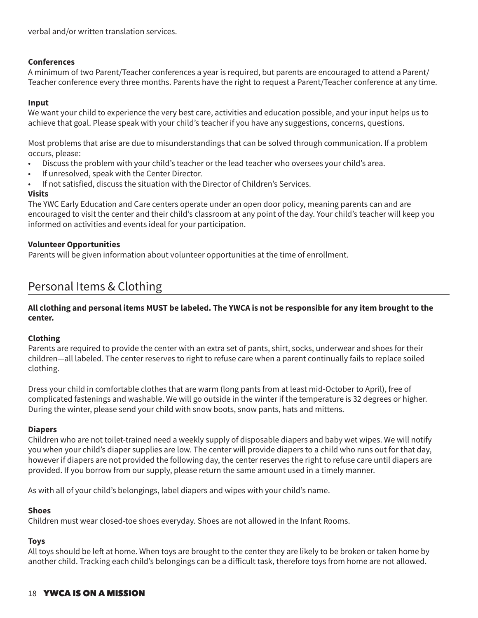verbal and/or written translation services.

#### **Conferences**

A minimum of two Parent/Teacher conferences a year is required, but parents are encouraged to attend a Parent/ Teacher conference every three months. Parents have the right to request a Parent/Teacher conference at any time.

#### **Input**

We want your child to experience the very best care, activities and education possible, and your input helps us to achieve that goal. Please speak with your child's teacher if you have any suggestions, concerns, questions.

Most problems that arise are due to misunderstandings that can be solved through communication. If a problem occurs, please:

- Discuss the problem with your child's teacher or the lead teacher who oversees your child's area.
- If unresolved, speak with the Center Director.
- If not satisfied, discuss the situation with the Director of Children's Services.

#### **Visits**

The YWC Early Education and Care centers operate under an open door policy, meaning parents can and are encouraged to visit the center and their child's classroom at any point of the day. Your child's teacher will keep you informed on activities and events ideal for your participation.

#### **Volunteer Opportunities**

Parents will be given information about volunteer opportunities at the time of enrollment.

## Personal Items & Clothing

#### **All clothing and personal items MUST be labeled. The YWCA is not be responsible for any item brought to the center.**

#### **Clothing**

Parents are required to provide the center with an extra set of pants, shirt, socks, underwear and shoes for their children—all labeled. The center reserves to right to refuse care when a parent continually fails to replace soiled clothing.

Dress your child in comfortable clothes that are warm (long pants from at least mid-October to April), free of complicated fastenings and washable. We will go outside in the winter if the temperature is 32 degrees or higher. During the winter, please send your child with snow boots, snow pants, hats and mittens.

#### **Diapers**

Children who are not toilet-trained need a weekly supply of disposable diapers and baby wet wipes. We will notify you when your child's diaper supplies are low. The center will provide diapers to a child who runs out for that day, however if diapers are not provided the following day, the center reserves the right to refuse care until diapers are provided. If you borrow from our supply, please return the same amount used in a timely manner.

As with all of your child's belongings, label diapers and wipes with your child's name.

#### **Shoes**

Children must wear closed-toe shoes everyday. Shoes are not allowed in the Infant Rooms.

#### **Toys**

All toys should be left at home. When toys are brought to the center they are likely to be broken or taken home by another child. Tracking each child's belongings can be a difficult task, therefore toys from home are not allowed.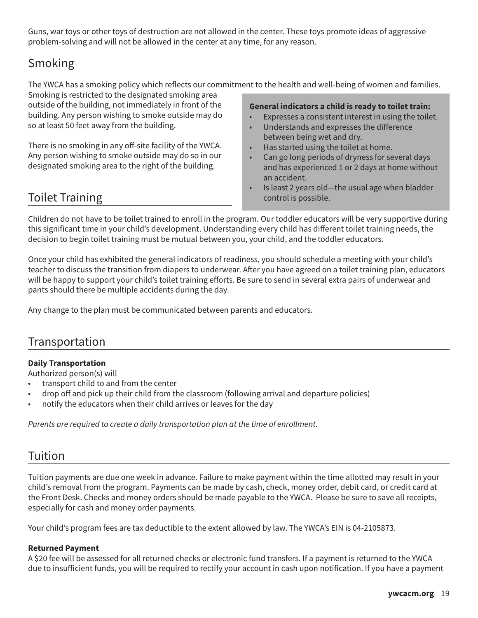Guns, war toys or other toys of destruction are not allowed in the center. These toys promote ideas of aggressive problem-solving and will not be allowed in the center at any time, for any reason.

## Smoking

The YWCA has a smoking policy which reflects our commitment to the health and well-being of women and families.

Smoking is restricted to the designated smoking area outside of the building, not immediately in front of the building. Any person wishing to smoke outside may do so at least 50 feet away from the building.

There is no smoking in any off-site facility of the YWCA. Any person wishing to smoke outside may do so in our designated smoking area to the right of the building.

## Toilet Training

**General indicators a child is ready to toilet train:**

- Expresses a consistent interest in using the toilet.
- Understands and expresses the difference between being wet and dry.
- Has started using the toilet at home.
- Can go long periods of dryness for several days and has experienced 1 or 2 days at home without an accident.
- Is least 2 years old—the usual age when bladder control is possible.

Children do not have to be toilet trained to enroll in the program. Our toddler educators will be very supportive during this significant time in your child's development. Understanding every child has different toilet training needs, the decision to begin toilet training must be mutual between you, your child, and the toddler educators.

Once your child has exhibited the general indicators of readiness, you should schedule a meeting with your child's teacher to discuss the transition from diapers to underwear. After you have agreed on a toilet training plan, educators will be happy to support your child's toilet training efforts. Be sure to send in several extra pairs of underwear and pants should there be multiple accidents during the day.

Any change to the plan must be communicated between parents and educators.

## Transportation

#### **Daily Transportation**

Authorized person(s) will

- transport child to and from the center
- drop off and pick up their child from the classroom (following arrival and departure policies)
- notify the educators when their child arrives or leaves for the day

*Parents are required to create a daily transportation plan at the time of enrollment.*

## Tuition

Tuition payments are due one week in advance. Failure to make payment within the time allotted may result in your child's removal from the program. Payments can be made by cash, check, money order, debit card, or credit card at the Front Desk. Checks and money orders should be made payable to the YWCA. Please be sure to save all receipts, especially for cash and money order payments.

Your child's program fees are tax deductible to the extent allowed by law. The YWCA's EIN is 04-2105873.

#### **Returned Payment**

A \$20 fee will be assessed for all returned checks or electronic fund transfers. If a payment is returned to the YWCA due to insufficient funds, you will be required to rectify your account in cash upon notification. If you have a payment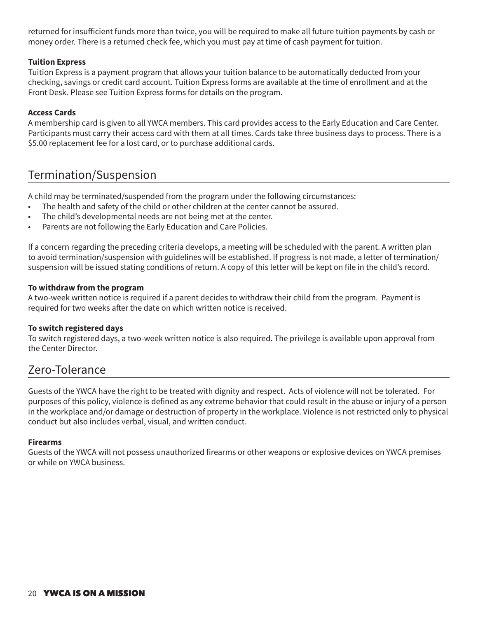returned for insufficient funds more than twice, you will be required to make all future tuition payments by cash or money order. There is a returned check fee, which you must pay at time of cash payment for tuition.

#### **Tuition Express**

Tuition Express is a payment program that allows your tuition balance to be automatically deducted from your checking, savings or credit card account. Tuition Express forms are available at the time of enrollment and at the Front Desk. Please see Tuition Express forms for details on the program.

#### **Access Cards**

A membership card is given to all YWCA members. This card provides access to the Early Education and Care Center. Participants must carry their access card with them at all times. Cards take three business days to process. There is a \$5.00 replacement fee for a lost card, or to purchase additional cards.

## Termination/Suspension

A child may be terminated/suspended from the program under the following circumstances:

- The health and safety of the child or other children at the center cannot be assured.
- The child's developmental needs are not being met at the center.
- Parents are not following the Early Education and Care Policies.

If a concern regarding the preceding criteria develops, a meeting will be scheduled with the parent. A written plan to avoid termination/suspension with guidelines will be established. If progress is not made, a letter of termination/ suspension will be issued stating conditions of return. A copy of this letter will be kept on file in the child's record.

#### **To withdraw from the program**

A two-week written notice is required if a parent decides to withdraw their child from the program. Payment is required for two weeks after the date on which written notice is received.

#### **To switch registered days**

To switch registered days, a two-week written notice is also required. The privilege is available upon approval from the Center Director.

### Zero-Tolerance

Guests of the YWCA have the right to be treated with dignity and respect. Acts of violence will not be tolerated. For purposes of this policy, violence is defined as any extreme behavior that could result in the abuse or injury of a person in the workplace and/or damage or destruction of property in the workplace. Violence is not restricted only to physical conduct but also includes verbal, visual, and written conduct.

#### **Firearms**

Guests of the YWCA will not possess unauthorized firearms or other weapons or explosive devices on YWCA premises or while on YWCA business.